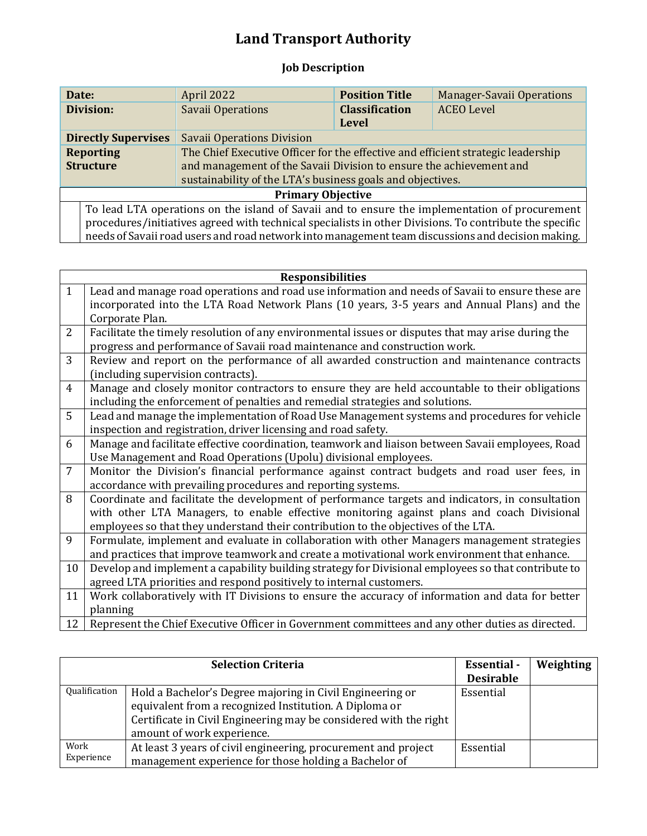## **Land Transport Authority**

## **Job Description**

| Date:                                                                                                   | April 2022                                                                       | <b>Position Title</b> | <b>Manager-Savaii Operations</b> |
|---------------------------------------------------------------------------------------------------------|----------------------------------------------------------------------------------|-----------------------|----------------------------------|
| Division:                                                                                               | Savaii Operations                                                                | <b>Classification</b> | <b>ACEO</b> Level                |
|                                                                                                         |                                                                                  | Level                 |                                  |
| <b>Directly Supervises</b>                                                                              | <b>Savaii Operations Division</b>                                                |                       |                                  |
| <b>Reporting</b>                                                                                        | The Chief Executive Officer for the effective and efficient strategic leadership |                       |                                  |
| <b>Structure</b>                                                                                        | and management of the Savaii Division to ensure the achievement and              |                       |                                  |
|                                                                                                         | sustainability of the LTA's business goals and objectives.                       |                       |                                  |
| <b>Primary Objective</b>                                                                                |                                                                                  |                       |                                  |
| To lead LTA operations on the island of Savaii and to ensure the implementation of procurement          |                                                                                  |                       |                                  |
| procedures/initiatives agreed with technical specialists in other Divisions. To contribute the specific |                                                                                  |                       |                                  |
| needs of Savaii road users and road network into management team discussions and decision making.       |                                                                                  |                       |                                  |

| <b>Responsibilities</b> |                                                                                                     |
|-------------------------|-----------------------------------------------------------------------------------------------------|
| $\mathbf{1}$            | Lead and manage road operations and road use information and needs of Savaii to ensure these are    |
|                         | incorporated into the LTA Road Network Plans (10 years, 3-5 years and Annual Plans) and the         |
|                         | Corporate Plan.                                                                                     |
| $\overline{2}$          | Facilitate the timely resolution of any environmental issues or disputes that may arise during the  |
|                         | progress and performance of Savaii road maintenance and construction work.                          |
| 3                       | Review and report on the performance of all awarded construction and maintenance contracts          |
|                         | (including supervision contracts).                                                                  |
| $\overline{4}$          | Manage and closely monitor contractors to ensure they are held accountable to their obligations     |
|                         | including the enforcement of penalties and remedial strategies and solutions.                       |
| 5                       | Lead and manage the implementation of Road Use Management systems and procedures for vehicle        |
|                         | inspection and registration, driver licensing and road safety.                                      |
| 6                       | Manage and facilitate effective coordination, teamwork and liaison between Savaii employees, Road   |
|                         | Use Management and Road Operations (Upolu) divisional employees.                                    |
| $\overline{7}$          | Monitor the Division's financial performance against contract budgets and road user fees, in        |
|                         | accordance with prevailing procedures and reporting systems.                                        |
| 8                       | Coordinate and facilitate the development of performance targets and indicators, in consultation    |
|                         | with other LTA Managers, to enable effective monitoring against plans and coach Divisional          |
|                         | employees so that they understand their contribution to the objectives of the LTA.                  |
| 9                       | Formulate, implement and evaluate in collaboration with other Managers management strategies        |
|                         | and practices that improve teamwork and create a motivational work environment that enhance.        |
| 10                      | Develop and implement a capability building strategy for Divisional employees so that contribute to |
|                         | agreed LTA priorities and respond positively to internal customers.                                 |
| 11                      | Work collaboratively with IT Divisions to ensure the accuracy of information and data for better    |
|                         | planning                                                                                            |
| 12                      | Represent the Chief Executive Officer in Government committees and any other duties as directed.    |

| <b>Selection Criteria</b> |                                                                   | <b>Essential</b> - | Weighting |
|---------------------------|-------------------------------------------------------------------|--------------------|-----------|
|                           |                                                                   | <b>Desirable</b>   |           |
| Qualification             | Hold a Bachelor's Degree majoring in Civil Engineering or         | Essential          |           |
|                           | equivalent from a recognized Institution. A Diploma or            |                    |           |
|                           | Certificate in Civil Engineering may be considered with the right |                    |           |
|                           | amount of work experience.                                        |                    |           |
| Work                      | At least 3 years of civil engineering, procurement and project    | Essential          |           |
| Experience                | management experience for those holding a Bachelor of             |                    |           |